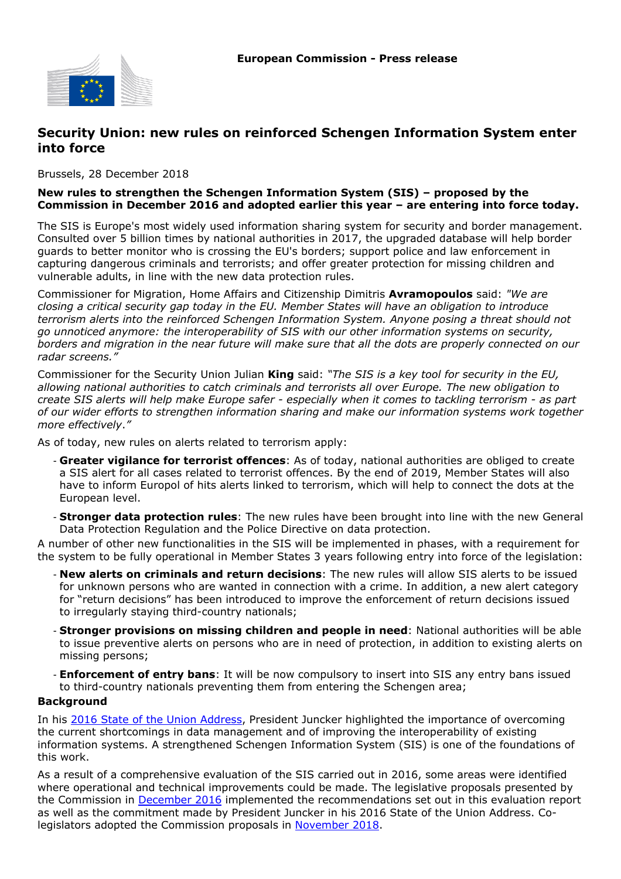

## **Security Union: new rules on reinforced Schengen Information System enter into force**

Brussels, 28 December 2018

## **New rules to strengthen the Schengen Information System (SIS) – proposed by the Commission in December 2016 and adopted earlier this year – are entering into force today.**

The SIS is Europe's most widely used information sharing system for security and border management. Consulted over 5 billion times by national authorities in 2017, the upgraded database will help border guards to better monitor who is crossing the EU's borders; support police and law enforcement in capturing dangerous criminals and terrorists; and offer greater protection for missing children and vulnerable adults, in line with the new data protection rules.

Commissioner for Migration, Home Affairs and Citizenship Dimitris **Avramopoulos** said: *"We are closing a critical security gap today in the EU. Member States will have an obligation to introduce terrorism alerts into the reinforced Schengen Information System. Anyone posing a threat should not go unnoticed anymore: the interoperability of SIS with our other information systems on security, borders and migration in the near future will make sure that all the dots are properly connected on our radar screens."*

Commissioner for the Security Union Julian **King** said: *"The SIS is a key tool for security in the EU, allowing national authorities to catch criminals and terrorists all over Europe. The new obligation to create SIS alerts will help make Europe safer - especially when it comes to tackling terrorism - as part of our wider efforts to strengthen information sharing and make our information systems work together more effectively*.*"*

As of today, new rules on alerts related to terrorism apply:

- **Greater vigilance for terrorist offences**: As of today, national authorities are obliged to create a SIS alert for all cases related to terrorist offences. By the end of 2019, Member States will also have to inform Europol of hits alerts linked to terrorism, which will help to connect the dots at the European level.
- **Stronger data protection rules**: The new rules have been brought into line with the new General Data Protection Regulation and the Police Directive on data protection.

A number of other new functionalities in the SIS will be implemented in phases, with a requirement for the system to be fully operational in Member States 3 years following entry into force of the legislation:

- **New alerts on criminals and return decisions**: The new rules will allow SIS alerts to be issued for unknown persons who are wanted in connection with a crime. In addition, a new alert category for "return decisions" has been introduced to improve the enforcement of return decisions issued to irregularly staying third-country nationals;
- **Stronger provisions on missing children and people in need**: National authorities will be able to issue preventive alerts on persons who are in need of protection, in addition to existing alerts on missing persons;
- **Enforcement of entry bans**: It will be now compulsory to insert into SIS any entry bans issued to third-country nationals preventing them from entering the Schengen area;

## **Background**

In his [2016 State of the Union Address,](https://ec.europa.eu/commission/priorities/state-union-speeches/state-union-2016_en) President Juncker highlighted the importance of overcoming the current shortcomings in data management and of improving the interoperability of existing information systems. A strengthened Schengen Information System (SIS) is one of the foundations of this work.

As a result of a comprehensive evaluation of the SIS carried out in 2016, some areas were identified where operational and technical improvements could be made. The legislative proposals presented by the Commission in [December 2016](http://europa.eu/rapid/press-release_IP-16-4402_en.htm) implemented the recommendations set out in this evaluation report as well as the commitment made by President Juncker in his 2016 State of the Union Address. Co-legislators adopted the Commission proposals in [November 2018](http://europa.eu/rapid/press-release_IP-18-6450_en.htm).